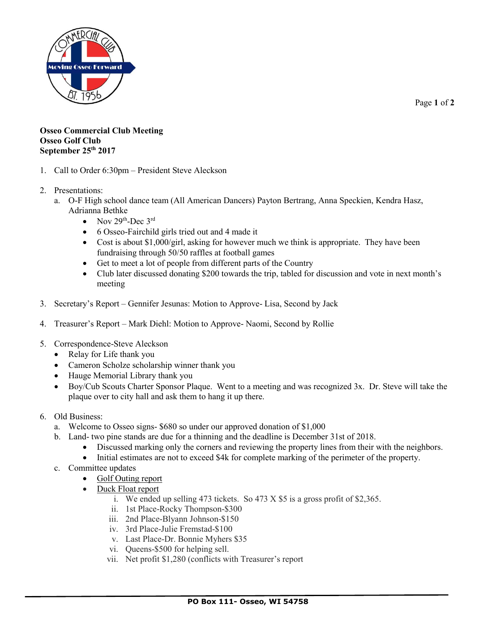

Page **1** of **2**

## **Osseo Commercial Club Meeting Osseo Golf Club September 25th 2017**

- 1. Call to Order 6:30pm President Steve Aleckson
- 2. Presentations:
	- a. O-F High school dance team (All American Dancers) Payton Bertrang, Anna Speckien, Kendra Hasz, Adrianna Bethke
		- Nov  $29<sup>th</sup>$ -Dec  $3<sup>rd</sup>$
		- 6 Osseo-Fairchild girls tried out and 4 made it
		- Cost is about \$1,000/girl, asking for however much we think is appropriate. They have been fundraising through 50/50 raffles at football games
		- Get to meet a lot of people from different parts of the Country
		- Club later discussed donating \$200 towards the trip, tabled for discussion and vote in next month's meeting
- 3. Secretary's Report Gennifer Jesunas: Motion to Approve- Lisa, Second by Jack
- 4. Treasurer's Report Mark Diehl: Motion to Approve- Naomi, Second by Rollie
- 5. Correspondence-Steve Aleckson
	- Relay for Life thank you
	- Cameron Scholze scholarship winner thank you
	- Hauge Memorial Library thank you
	- Boy/Cub Scouts Charter Sponsor Plaque. Went to a meeting and was recognized 3x. Dr. Steve will take the plaque over to city hall and ask them to hang it up there.
- 6. Old Business:
	- a. Welcome to Osseo signs- \$680 so under our approved donation of \$1,000
	- b. Land- two pine stands are due for a thinning and the deadline is December 31st of 2018.
		- Discussed marking only the corners and reviewing the property lines from their with the neighbors.
		- Initial estimates are not to exceed \$4k for complete marking of the perimeter of the property.
	- c. Committee updates
		- Golf Outing report
		- Duck Float report
			- i. We ended up selling 473 tickets. So 473 X \$5 is a gross profit of \$2,365.
			- ii. 1st Place-Rocky Thompson-\$300
			- iii. 2nd Place-Blyann Johnson-\$150
			- iv. 3rd Place-Julie Fremstad-\$100
			- v. Last Place-Dr. Bonnie Myhers \$35
			- vi. Queens-\$500 for helping sell.
			- vii. Net profit \$1,280 (conflicts with Treasurer's report